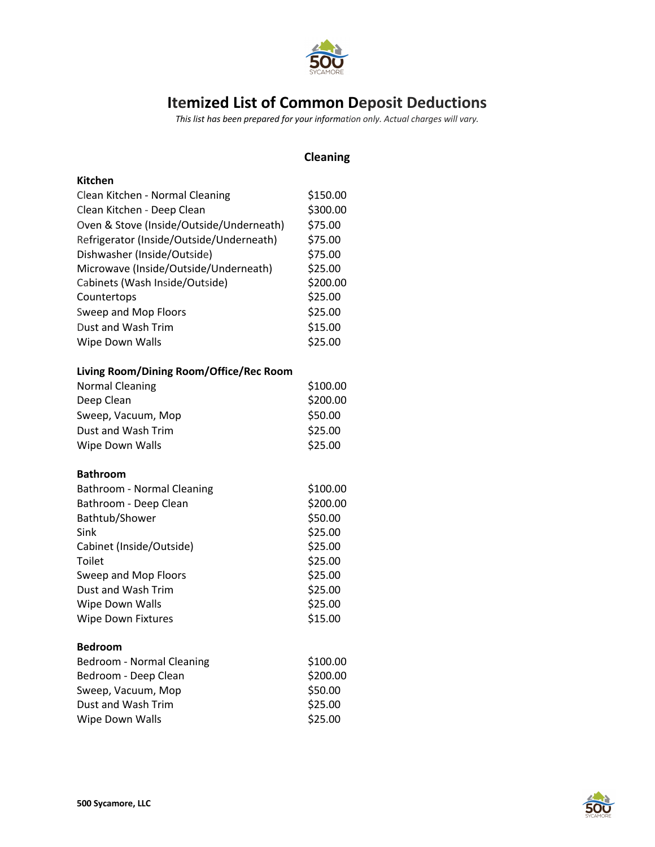

## **Itemized List of Common Deposit Deductions**

*This list has been prepared for your information only. Actual charges will vary.*

|                                          | <b>Cleaning</b> |
|------------------------------------------|-----------------|
| <b>Kitchen</b>                           |                 |
| Clean Kitchen - Normal Cleaning          | \$150.00        |
| Clean Kitchen - Deep Clean               | \$300.00        |
| Oven & Stove (Inside/Outside/Underneath) | \$75.00         |
| Refrigerator (Inside/Outside/Underneath) | \$75.00         |
| Dishwasher (Inside/Outside)              | \$75.00         |
| Microwave (Inside/Outside/Underneath)    | \$25.00         |
| Cabinets (Wash Inside/Outside)           | \$200.00        |
| Countertops                              | \$25.00         |
| Sweep and Mop Floors                     | \$25.00         |
| Dust and Wash Trim                       | \$15.00         |
| Wipe Down Walls                          | \$25.00         |
| Living Room/Dining Room/Office/Rec Room  |                 |
| <b>Normal Cleaning</b>                   | \$100.00        |
| Deep Clean                               | \$200.00        |
| Sweep, Vacuum, Mop                       | \$50.00         |
| Dust and Wash Trim                       | \$25.00         |
| Wipe Down Walls                          | \$25.00         |
| <b>Bathroom</b>                          |                 |
| Bathroom - Normal Cleaning               | \$100.00        |
| Bathroom - Deep Clean                    | \$200.00        |
| Bathtub/Shower                           | \$50.00         |
| Sink                                     | \$25.00         |
| Cabinet (Inside/Outside)                 | \$25.00         |
| Toilet                                   | \$25.00         |
| Sweep and Mop Floors                     | \$25.00         |
| Dust and Wash Trim                       | \$25.00         |
| Wipe Down Walls                          | \$25.00         |
| <b>Wipe Down Fixtures</b>                | \$15.00         |
| <b>Bedroom</b>                           |                 |
| Bedroom - Normal Cleaning                | \$100.00        |
| Bedroom - Deep Clean                     | \$200.00        |
| Sweep, Vacuum, Mop                       | \$50.00         |
| Dust and Wash Trim                       | \$25.00         |
| Wipe Down Walls                          | \$25.00         |